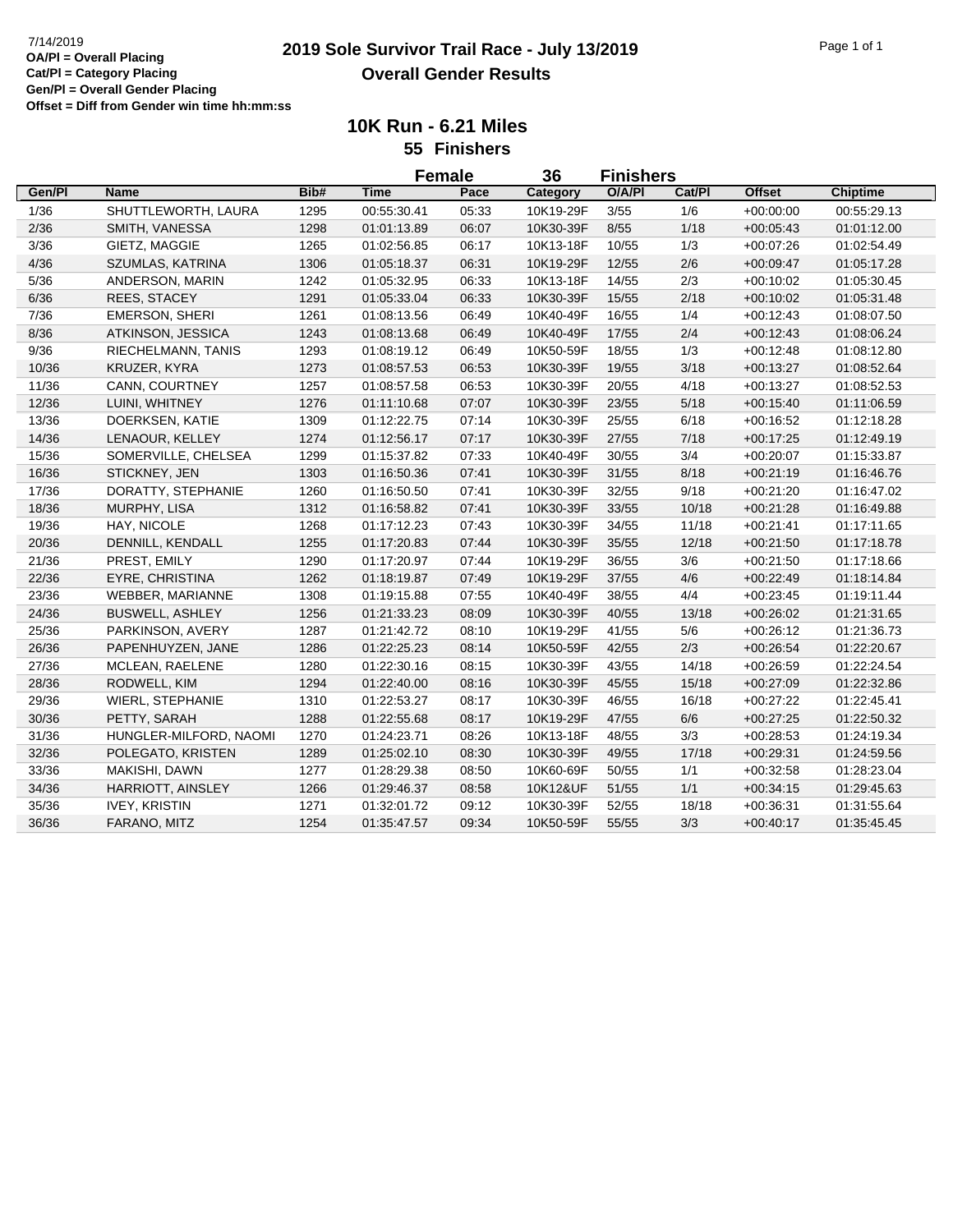## **2019 Sole Survivor Trail Race - July 13/2019** 7/14/2019 Page 1 of 1 **Overall Gender Results**

**10K Run - 6.21 Miles 55 Finishers**

|        |                         |      | <b>Female</b> |       | 36        | <b>Finishers</b> |        |               |                 |  |
|--------|-------------------------|------|---------------|-------|-----------|------------------|--------|---------------|-----------------|--|
| Gen/PI | <b>Name</b>             | Bib# | <b>Time</b>   | Pace  | Category  | O/A/PI           | Cat/PI | <b>Offset</b> | <b>Chiptime</b> |  |
| 1/36   | SHUTTLEWORTH, LAURA     | 1295 | 00:55:30.41   | 05:33 | 10K19-29F | 3/55             | 1/6    | $+00:00:00$   | 00:55:29.13     |  |
| 2/36   | SMITH, VANESSA          | 1298 | 01:01:13.89   | 06:07 | 10K30-39F | 8/55             | 1/18   | $+00:05:43$   | 01:01:12.00     |  |
| 3/36   | GIETZ, MAGGIE           | 1265 | 01:02:56.85   | 06:17 | 10K13-18F | 10/55            | 1/3    | $+00:07:26$   | 01:02:54.49     |  |
| 4/36   | SZUMLAS, KATRINA        | 1306 | 01:05:18.37   | 06:31 | 10K19-29F | 12/55            | 2/6    | $+00:09:47$   | 01:05:17.28     |  |
| 5/36   | ANDERSON, MARIN         | 1242 | 01:05:32.95   | 06:33 | 10K13-18F | 14/55            | 2/3    | $+00:10:02$   | 01:05:30.45     |  |
| 6/36   | REES, STACEY            | 1291 | 01:05:33.04   | 06:33 | 10K30-39F | 15/55            | 2/18   | $+00:10:02$   | 01:05:31.48     |  |
| 7/36   | <b>EMERSON, SHERI</b>   | 1261 | 01:08:13.56   | 06:49 | 10K40-49F | 16/55            | 1/4    | $+00:12:43$   | 01:08:07.50     |  |
| 8/36   | ATKINSON, JESSICA       | 1243 | 01:08:13.68   | 06:49 | 10K40-49F | 17/55            | 2/4    | $+00:12:43$   | 01:08:06.24     |  |
| 9/36   | RIECHELMANN, TANIS      | 1293 | 01:08:19.12   | 06:49 | 10K50-59F | 18/55            | 1/3    | $+00:12:48$   | 01:08:12.80     |  |
| 10/36  | KRUZER, KYRA            | 1273 | 01:08:57.53   | 06:53 | 10K30-39F | 19/55            | 3/18   | $+00:13:27$   | 01:08:52.64     |  |
| 11/36  | CANN, COURTNEY          | 1257 | 01:08:57.58   | 06:53 | 10K30-39F | 20/55            | 4/18   | $+00:13:27$   | 01:08:52.53     |  |
| 12/36  | LUINI, WHITNEY          | 1276 | 01:11:10.68   | 07:07 | 10K30-39F | 23/55            | 5/18   | $+00:15:40$   | 01:11:06.59     |  |
| 13/36  | DOERKSEN, KATIE         | 1309 | 01:12:22.75   | 07:14 | 10K30-39F | 25/55            | 6/18   | $+00:16:52$   | 01:12:18.28     |  |
| 14/36  | LENAOUR, KELLEY         | 1274 | 01:12:56.17   | 07:17 | 10K30-39F | 27/55            | 7/18   | $+00:17:25$   | 01:12:49.19     |  |
| 15/36  | SOMERVILLE, CHELSEA     | 1299 | 01:15:37.82   | 07:33 | 10K40-49F | 30/55            | 3/4    | $+00:20:07$   | 01:15:33.87     |  |
| 16/36  | STICKNEY, JEN           | 1303 | 01:16:50.36   | 07:41 | 10K30-39F | 31/55            | 8/18   | $+00:21:19$   | 01:16:46.76     |  |
| 17/36  | DORATTY, STEPHANIE      | 1260 | 01:16:50.50   | 07:41 | 10K30-39F | 32/55            | 9/18   | $+00:21:20$   | 01:16:47.02     |  |
| 18/36  | MURPHY, LISA            | 1312 | 01:16:58.82   | 07:41 | 10K30-39F | 33/55            | 10/18  | $+00:21:28$   | 01:16:49.88     |  |
| 19/36  | HAY, NICOLE             | 1268 | 01:17:12.23   | 07:43 | 10K30-39F | 34/55            | 11/18  | $+00:21:41$   | 01:17:11.65     |  |
| 20/36  | DENNILL, KENDALL        | 1255 | 01:17:20.83   | 07:44 | 10K30-39F | 35/55            | 12/18  | $+00:21:50$   | 01:17:18.78     |  |
| 21/36  | PREST, EMILY            | 1290 | 01:17:20.97   | 07:44 | 10K19-29F | 36/55            | 3/6    | $+00:21:50$   | 01:17:18.66     |  |
| 22/36  | <b>EYRE, CHRISTINA</b>  | 1262 | 01:18:19.87   | 07:49 | 10K19-29F | 37/55            | 4/6    | $+00:22:49$   | 01:18:14.84     |  |
| 23/36  | WEBBER, MARIANNE        | 1308 | 01:19:15.88   | 07:55 | 10K40-49F | 38/55            | 4/4    | $+00:23:45$   | 01:19:11.44     |  |
| 24/36  | <b>BUSWELL, ASHLEY</b>  | 1256 | 01:21:33.23   | 08:09 | 10K30-39F | 40/55            | 13/18  | $+00:26:02$   | 01:21:31.65     |  |
| 25/36  | PARKINSON, AVERY        | 1287 | 01:21:42.72   | 08:10 | 10K19-29F | 41/55            | 5/6    | $+00:26:12$   | 01:21:36.73     |  |
| 26/36  | PAPENHUYZEN, JANE       | 1286 | 01:22:25.23   | 08:14 | 10K50-59F | 42/55            | 2/3    | $+00:26:54$   | 01:22:20.67     |  |
| 27/36  | MCLEAN, RAELENE         | 1280 | 01:22:30.16   | 08:15 | 10K30-39F | 43/55            | 14/18  | $+00:26:59$   | 01:22:24.54     |  |
| 28/36  | RODWELL, KIM            | 1294 | 01:22:40.00   | 08:16 | 10K30-39F | 45/55            | 15/18  | $+00:27:09$   | 01:22:32.86     |  |
| 29/36  | <b>WIERL, STEPHANIE</b> | 1310 | 01:22:53.27   | 08:17 | 10K30-39F | 46/55            | 16/18  | $+00:27:22$   | 01:22:45.41     |  |
| 30/36  | PETTY, SARAH            | 1288 | 01:22:55.68   | 08:17 | 10K19-29F | 47/55            | 6/6    | $+00:27:25$   | 01:22:50.32     |  |
| 31/36  | HUNGLER-MILFORD, NAOMI  | 1270 | 01:24:23.71   | 08:26 | 10K13-18F | 48/55            | 3/3    | $+00:28:53$   | 01:24:19.34     |  |
| 32/36  | POLEGATO, KRISTEN       | 1289 | 01:25:02.10   | 08:30 | 10K30-39F | 49/55            | 17/18  | $+00:29:31$   | 01:24:59.56     |  |
| 33/36  | MAKISHI, DAWN           | 1277 | 01:28:29.38   | 08:50 | 10K60-69F | 50/55            | 1/1    | $+00:32:58$   | 01:28:23.04     |  |
| 34/36  | HARRIOTT, AINSLEY       | 1266 | 01:29:46.37   | 08:58 | 10K12&UF  | 51/55            | 1/1    | $+00:34:15$   | 01:29:45.63     |  |
| 35/36  | <b>IVEY, KRISTIN</b>    | 1271 | 01:32:01.72   | 09:12 | 10K30-39F | 52/55            | 18/18  | $+00:36:31$   | 01:31:55.64     |  |
| 36/36  | FARANO, MITZ            | 1254 | 01:35:47.57   | 09:34 | 10K50-59F | 55/55            | 3/3    | $+00.40.17$   | 01:35:45.45     |  |